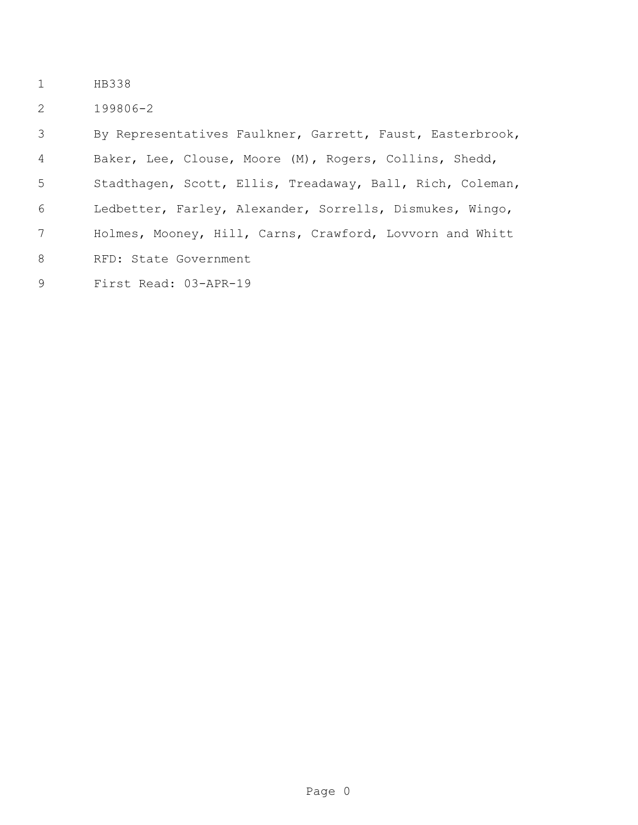- HB338
- 199806-2

 By Representatives Faulkner, Garrett, Faust, Easterbrook, Baker, Lee, Clouse, Moore (M), Rogers, Collins, Shedd, Stadthagen, Scott, Ellis, Treadaway, Ball, Rich, Coleman, Ledbetter, Farley, Alexander, Sorrells, Dismukes, Wingo, Holmes, Mooney, Hill, Carns, Crawford, Lovvorn and Whitt RFD: State Government

First Read: 03-APR-19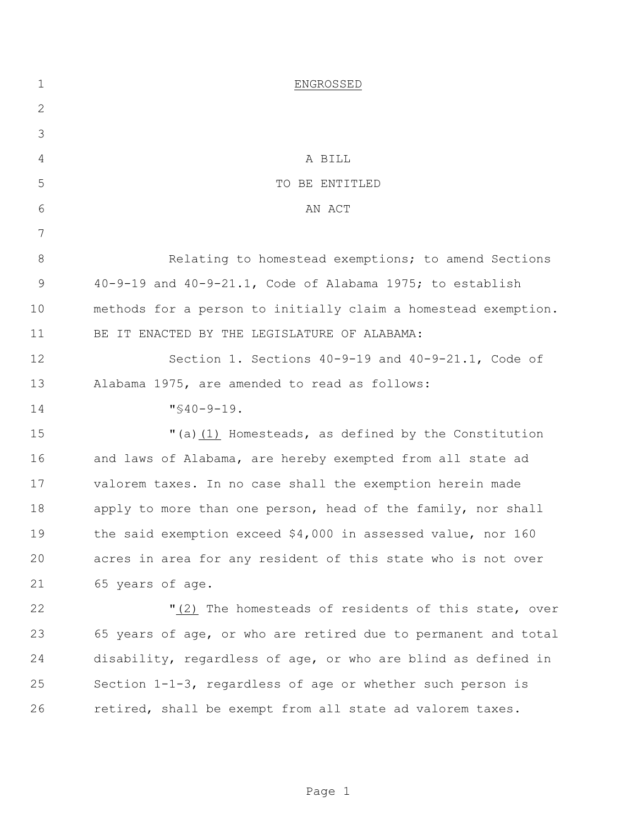| $\mathbf 1$ | ENGROSSED                                                      |
|-------------|----------------------------------------------------------------|
| 2           |                                                                |
| 3           |                                                                |
| 4           | A BILL                                                         |
| 5           | TO BE ENTITLED                                                 |
| 6           | AN ACT                                                         |
| 7           |                                                                |
| 8           | Relating to homestead exemptions; to amend Sections            |
| 9           | $40-9-19$ and $40-9-21.1$ , Code of Alabama 1975; to establish |
| 10          | methods for a person to initially claim a homestead exemption. |
| 11          | BE IT ENACTED BY THE LEGISLATURE OF ALABAMA:                   |
| 12          | Section 1. Sections 40-9-19 and 40-9-21.1, Code of             |
| 13          | Alabama 1975, are amended to read as follows:                  |
| 14          | $"$ \$40-9-19.                                                 |
| 15          | "(a)(1) Homesteads, as defined by the Constitution             |
| 16          | and laws of Alabama, are hereby exempted from all state ad     |
| 17          | valorem taxes. In no case shall the exemption herein made      |
| 18          | apply to more than one person, head of the family, nor shall   |
| 19          | the said exemption exceed \$4,000 in assessed value, nor 160   |
| 20          | acres in area for any resident of this state who is not over   |
| 21          | 65 years of age.                                               |
| 22          | "(2) The homesteads of residents of this state, over           |
| 23          | 65 years of age, or who are retired due to permanent and total |
| 24          | disability, regardless of age, or who are blind as defined in  |
| 25          | Section 1-1-3, regardless of age or whether such person is     |
| 26          | retired, shall be exempt from all state ad valorem taxes.      |
|             |                                                                |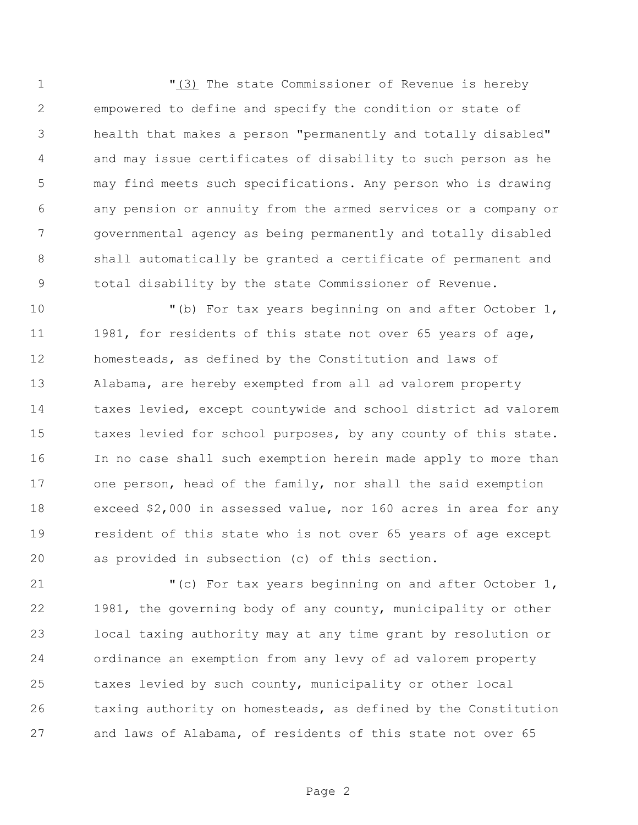"(3) The state Commissioner of Revenue is hereby empowered to define and specify the condition or state of health that makes a person "permanently and totally disabled" and may issue certificates of disability to such person as he may find meets such specifications. Any person who is drawing any pension or annuity from the armed services or a company or governmental agency as being permanently and totally disabled shall automatically be granted a certificate of permanent and total disability by the state Commissioner of Revenue.

 "(b) For tax years beginning on and after October 1, 11 1981, for residents of this state not over 65 years of age, homesteads, as defined by the Constitution and laws of Alabama, are hereby exempted from all ad valorem property taxes levied, except countywide and school district ad valorem 15 taxes levied for school purposes, by any county of this state. In no case shall such exemption herein made apply to more than one person, head of the family, nor shall the said exemption exceed \$2,000 in assessed value, nor 160 acres in area for any resident of this state who is not over 65 years of age except as provided in subsection (c) of this section.

 "(c) For tax years beginning on and after October 1, 1981, the governing body of any county, municipality or other local taxing authority may at any time grant by resolution or ordinance an exemption from any levy of ad valorem property taxes levied by such county, municipality or other local taxing authority on homesteads, as defined by the Constitution and laws of Alabama, of residents of this state not over 65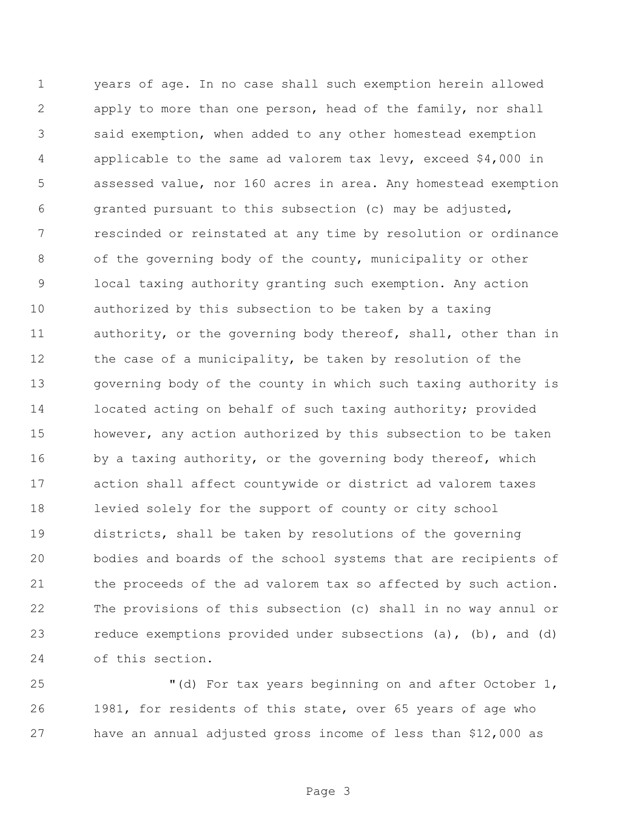years of age. In no case shall such exemption herein allowed apply to more than one person, head of the family, nor shall said exemption, when added to any other homestead exemption applicable to the same ad valorem tax levy, exceed \$4,000 in assessed value, nor 160 acres in area. Any homestead exemption granted pursuant to this subsection (c) may be adjusted, rescinded or reinstated at any time by resolution or ordinance of the governing body of the county, municipality or other local taxing authority granting such exemption. Any action authorized by this subsection to be taken by a taxing authority, or the governing body thereof, shall, other than in the case of a municipality, be taken by resolution of the governing body of the county in which such taxing authority is 14 located acting on behalf of such taxing authority; provided however, any action authorized by this subsection to be taken 16 by a taxing authority, or the governing body thereof, which action shall affect countywide or district ad valorem taxes levied solely for the support of county or city school districts, shall be taken by resolutions of the governing bodies and boards of the school systems that are recipients of 21 the proceeds of the ad valorem tax so affected by such action. The provisions of this subsection (c) shall in no way annul or reduce exemptions provided under subsections (a), (b), and (d) of this section.

 "(d) For tax years beginning on and after October 1, 1981, for residents of this state, over 65 years of age who have an annual adjusted gross income of less than \$12,000 as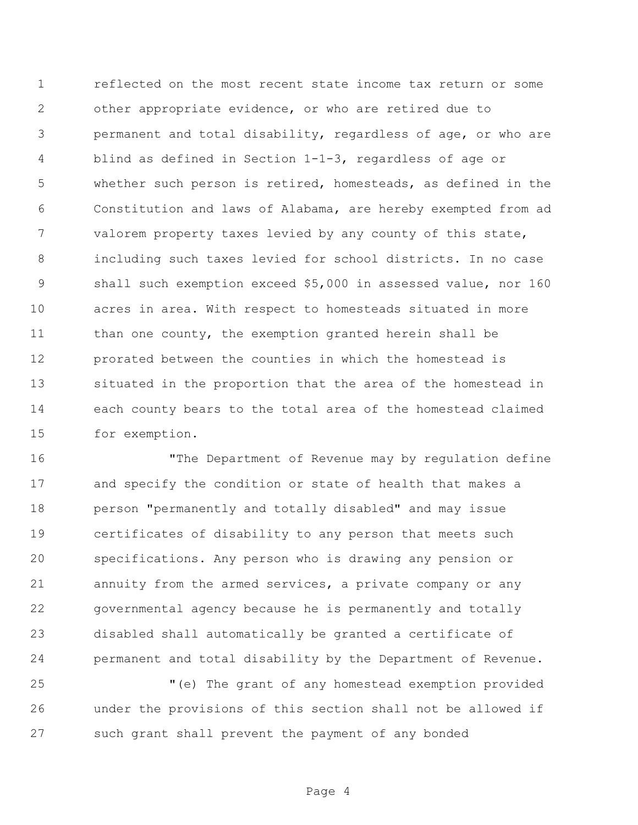reflected on the most recent state income tax return or some other appropriate evidence, or who are retired due to permanent and total disability, regardless of age, or who are blind as defined in Section 1-1-3, regardless of age or whether such person is retired, homesteads, as defined in the Constitution and laws of Alabama, are hereby exempted from ad valorem property taxes levied by any county of this state, including such taxes levied for school districts. In no case shall such exemption exceed \$5,000 in assessed value, nor 160 acres in area. With respect to homesteads situated in more 11 than one county, the exemption granted herein shall be prorated between the counties in which the homestead is situated in the proportion that the area of the homestead in each county bears to the total area of the homestead claimed for exemption.

 "The Department of Revenue may by regulation define and specify the condition or state of health that makes a person "permanently and totally disabled" and may issue certificates of disability to any person that meets such specifications. Any person who is drawing any pension or annuity from the armed services, a private company or any governmental agency because he is permanently and totally disabled shall automatically be granted a certificate of permanent and total disability by the Department of Revenue.

 "(e) The grant of any homestead exemption provided under the provisions of this section shall not be allowed if such grant shall prevent the payment of any bonded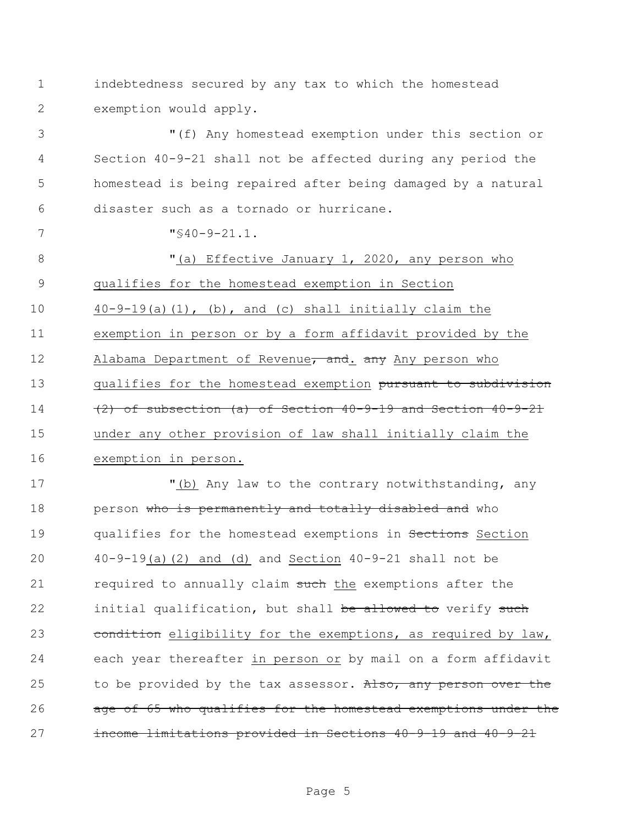1 indebtedness secured by any tax to which the homestead 2 exemption would apply.

 "(f) Any homestead exemption under this section or Section 40-9-21 shall not be affected during any period the homestead is being repaired after being damaged by a natural disaster such as a tornado or hurricane.

7  $\sqrt{9}-21.1$ .

8 "(a) Effective January 1, 2020, any person who qualifies for the homestead exemption in Section 40-9-19(a)(1), (b), and (c) shall initially claim the exemption in person or by a form affidavit provided by the 12 Alabama Department of Revenue, and. any Any person who 13 qualifies for the homestead exemption pursuant to subdivision (2) of subsection (a) of Section  $40-9-19$  and Section  $40-9-21$  under any other provision of law shall initially claim the exemption in person.

17 "(b) Any law to the contrary notwithstanding, any 18 person who is permanently and totally disabled and who 19 qualifies for the homestead exemptions in Sections Section 20 40-9-19(a)(2) and (d) and Section 40-9-21 shall not be 21 required to annually claim such the exemptions after the 22 initial qualification, but shall be allowed to verify such 23 condition eligibility for the exemptions, as required by law, 24 each year thereafter in person or by mail on a form affidavit 25 to be provided by the tax assessor. Also, any person over the 26 age of 65 who qualifies for the homestead exemptions under the 27 income limitations provided in Sections 40-9-19 and 40-9-21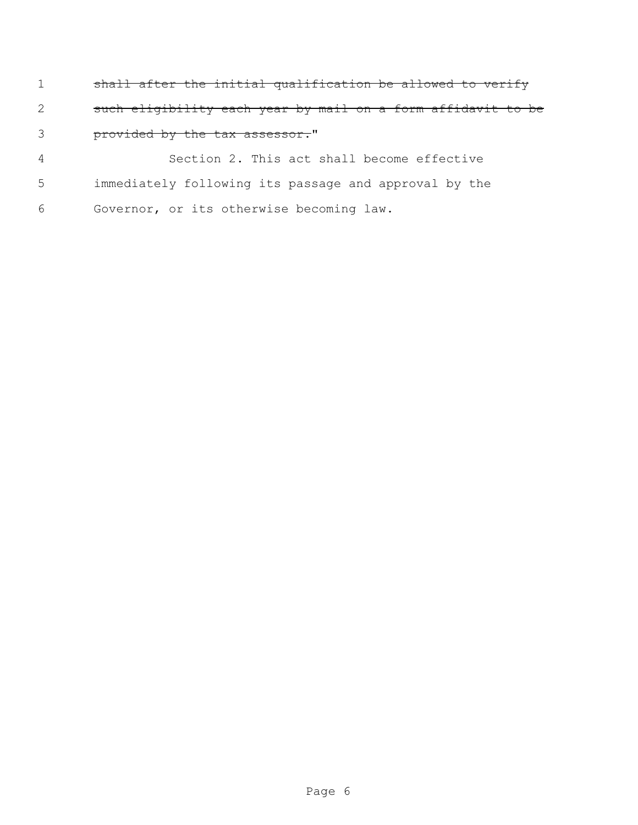shall after the initial qualification be allowed to verify such eligibility each year by mail on a form affidavit to be 3 provided by the tax assessor."

 Section 2. This act shall become effective immediately following its passage and approval by the Governor, or its otherwise becoming law.